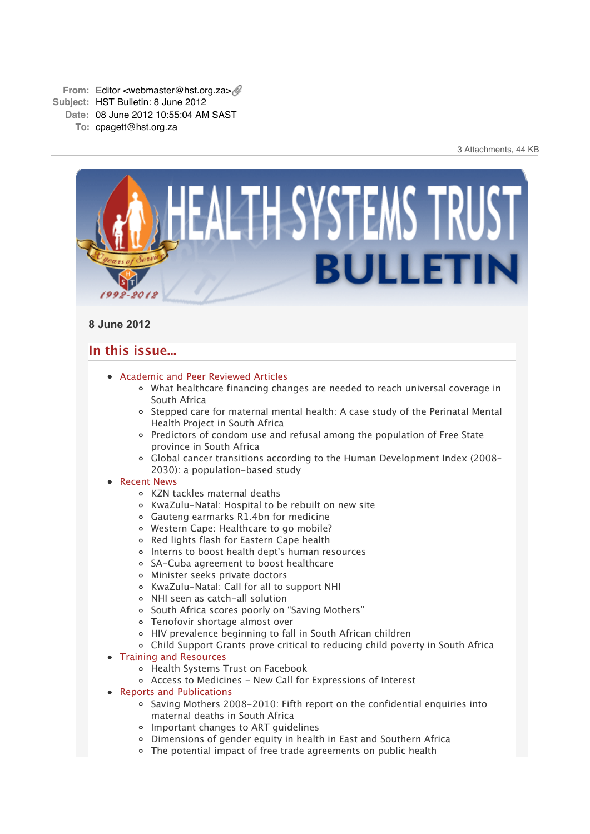

# **8 June 2012**

# **In this issue...**

- [Academic and Peer Reviewed Articles](x-msg://5/#Academic)
	- [What healthcare financing changes are needed to reach universal coverage in](x-msg://5/#A_1) South Africa
	- o [Stepped care for maternal mental health: A case study of the Perinatal Mental](x-msg://5/#A_2) Health Project in South Africa
	- [Predictors of condom use and refusal among the population of Free State](x-msg://5/#A_3) province in South Africa
	- [Global cancer transitions according to the Human Development Index \(2008–](x-msg://5/#A_4) 2030): a population-based study

## [Recent News](x-msg://5/#recent)

- [KZN tackles maternal deaths](x-msg://5/#N_1)
- [KwaZulu-Natal: Hospital to be rebuilt on new site](x-msg://5/#N_2)
- Gauteng earmarks R1.4bn for medicine
- [Western Cape: Healthcare to go mobile?](x-msg://5/#N_4)
- [Red lights flash for Eastern Cape health](x-msg://5/#N_5)
- [Interns to boost health dept's human resources](x-msg://5/#N_6)
- [SA-Cuba agreement to boost healthcare](x-msg://5/#N_7)
- [Minister seeks private doctors](x-msg://5/#N_8)
- [KwaZulu-Natal: Call for all to support NHI](x-msg://5/#N_9)
- [NHI seen as catch-all solution](x-msg://5/#N_10)
- o [South Africa scores poorly on "Saving Mothers"](x-msg://5/#N_11)
- Tenofovir shortage almost over
- [HIV prevalence beginning to fall in South African children](x-msg://5/#N_13)
- [Child Support Grants prove critical to reducing child poverty in South Africa](x-msg://5/#N_14)
- [Training and Resources](x-msg://5/#train)
	- [Health Systems Trust on Facebook](x-msg://5/#T_0)
	- [Access to Medicines New Call for Expressions of Interest](x-msg://5/#T_1)
- [Reports and Publications](x-msg://5/#publications)
	- $\circ$  Saving Mothers 2008-2010: Fifth report on the confidential enguiries into maternal deaths in South Africa
	- Important changes to ART guidelines
	- Dimensions of gender equity in health in East and Southern Africa
	- The potential impact of free trade agreements on public health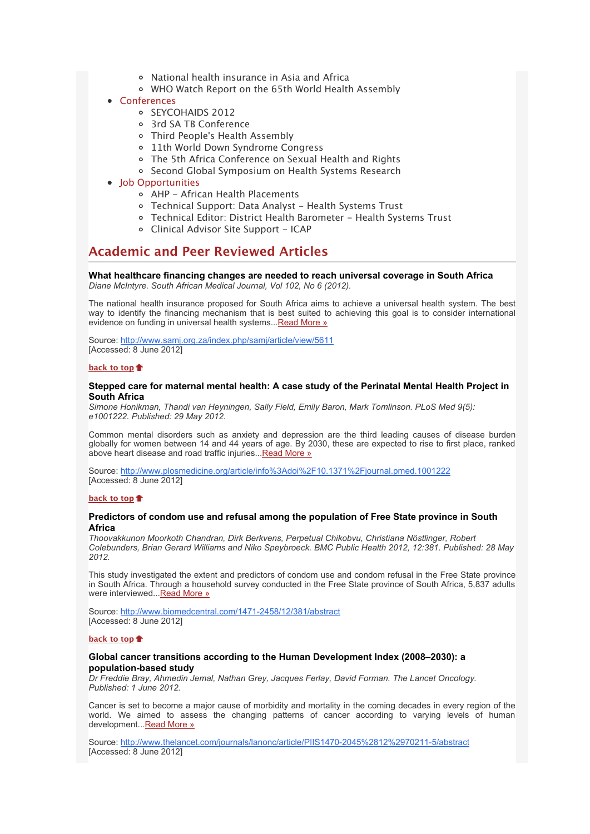- National health insurance in Asia and Africa
- WHO Watch Report on the 65th World Health Assembly
- [Conferences](x-msg://5/#conferences)
	- o [SEYCOHAIDS 2012](x-msg://5/#C_0)
	- [3rd SA TB Conference](x-msg://5/#C_1)
	- [Third People's Health Assembly](x-msg://5/#C_2)
	- [11th World Down Syndrome Congress](x-msg://5/#C_3)
	- [The 5th Africa Conference on Sexual Health and Rights](x-msg://5/#C_4)
	- o [Second Global Symposium on Health Systems Research](x-msg://5/#C_5)
- **[Job Opportunities](x-msg://5/#jobs)** 
	- [AHP African Health Placements](x-msg://5/#J_0)
	- [Technical Support: Data Analyst Health Systems Trust](x-msg://5/#J_1)
	- Technical Editor: District Health Barometer Health Systems Trust
	- [Clinical Advisor Site Support ICAP](x-msg://5/#J_3)

# **Academic and Peer Reviewed Articles**

**What healthcare financing changes are needed to reach universal coverage in South Africa** *Diane McIntyre. South African Medical Journal, Vol 102, No 6 (2012).*

The national health insurance proposed for South Africa aims to achieve a universal health system. The best way to identify the financing mechanism that is best suited to achieving this goal is to consider international evidence on funding in universal health systems..[.Read More »](http://bulletin.hst.org.za//lt.php?id=K09UDl1VVgAOSlBVBkUHC1NR)

Source: [http://www.samj.org.za/index.php/samj/article/view/5611](http://bulletin.hst.org.za//lt.php?id=K09UDl1VVgAOSlBVBkUHC1NR) [Accessed: 8 June 2012]

## **[back to top](x-msg://5/#top)**

## **Stepped care for maternal mental health: A case study of the Perinatal Mental Health Project in South Africa**

*Simone Honikman, Thandi van Heyningen, Sally Field, Emily Baron, Mark Tomlinson. PLoS Med 9(5): e1001222. Published: 29 May 2012.*

Common mental disorders such as anxiety and depression are the third leading causes of disease burden globally for women between 14 and 44 years of age. By 2030, these are expected to rise to first place, ranked above heart disease and road traffic injuries..[.Read More »](http://bulletin.hst.org.za//lt.php?id=K09UDl1VVgEHSlBVBkUHC1NR)

Source: http://www.plosmedicine.org/article/info%3Adoi%2F10.1371%2Fiournal.pmed.1001222 [Accessed: 8 June 2012]

## **[back to top](x-msg://5/#top)**

## **Predictors of condom use and refusal among the population of Free State province in South Africa**

*Thoovakkunon Moorkoth Chandran, Dirk Berkvens, Perpetual Chikobvu, Christiana Nöstlinger, Robert Colebunders, Brian Gerard Williams and Niko Speybroeck. BMC Public Health 2012, 12:381. Published: 28 May 2012.*

This study investigated the extent and predictors of condom use and condom refusal in the Free State province in South Africa. Through a household survey conducted in the Free State province of South Africa, 5,837 adults were interviewed... Read More »

Source: [http://www.biomedcentral.com/1471-2458/12/381/abstract](http://bulletin.hst.org.za//lt.php?id=K09UDl1VVgEGSlBVBkUHC1NR) [Accessed: 8 June 2012]

## **[back to top](x-msg://5/#top)**

## **Global cancer transitions according to the Human Development Index (2008–2030): a population-based study**

*Dr Freddie Bray, Ahmedin Jemal, Nathan Grey, Jacques Ferlay, David Forman. The Lancet Oncology. Published: 1 June 2012.*

Cancer is set to become a major cause of morbidity and mortality in the coming decades in every region of the world. We aimed to assess the changing patterns of cancer according to varying levels of human development..[.Read More »](http://bulletin.hst.org.za//lt.php?id=K09UDl1VVgEFSlBVBkUHC1NR)

Source: [http://www.thelancet.com/journals/lanonc/article/PIIS1470-2045%2812%2970211-5/abstract](http://bulletin.hst.org.za//lt.php?id=K09UDl1VVgEFSlBVBkUHC1NR) [Accessed: 8 June 2012]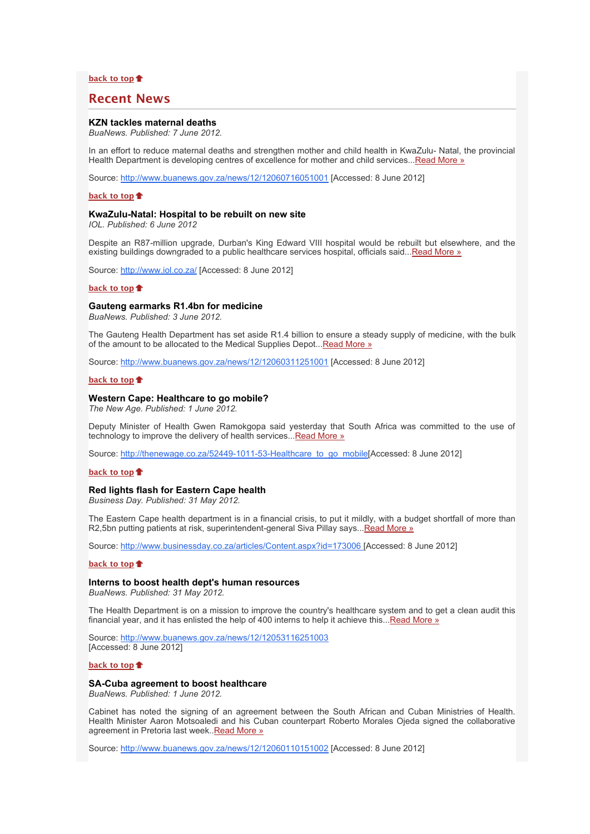## **[back to top](x-msg://5/#top)**

# **Recent News**

## **KZN tackles maternal deaths**

*BuaNews. Published: 7 June 2012.*

In an effort to reduce maternal deaths and strengthen mother and child health in KwaZulu- Natal, the provincial Health Department is developing centres of excellence for mother and child services... Read More »

Source: [http://www.buanews.gov.za/news/12/12060716051001](http://bulletin.hst.org.za//lt.php?id=K09UDl1VVgEDSlBVBkUHC1NR) [Accessed: 8 June 2012]

### **[back to top](x-msg://5/#top)**

## **KwaZulu-Natal: Hospital to be rebuilt on new site**

*IOL. Published: 6 June 2012*

Despite an R87-million upgrade, Durban's King Edward VIII hospital would be rebuilt but elsewhere, and the existing buildings downgraded to a public healthcare services hospital, officials said... Read More »

Source: [http://www.iol.co.za/](http://bulletin.hst.org.za//lt.php?id=K09UDl1VVgEBSlBVBkUHC1NR) [Accessed: 8 June 2012]

#### **[back to top](x-msg://5/#top)**

## **Gauteng earmarks R1.4bn for medicine**

*BuaNews. Published: 3 June 2012.*

The Gauteng Health Department has set aside R1.4 billion to ensure a steady supply of medicine, with the bulk of the amount to be allocated to the Medical Supplies Depot... [Read More »](http://bulletin.hst.org.za//lt.php?id=K09UDl1VVgEASlBVBkUHC1NR)

Source: [http://www.buanews.gov.za/news/12/12060311251001](http://bulletin.hst.org.za//lt.php?id=K09UDl1VVgEPSlBVBkUHC1NR) [Accessed: 8 June 2012]

#### **[back to top](x-msg://5/#top)**

## **Western Cape: Healthcare to go mobile?**

*The New Age. Published: 1 June 2012.*

Deputy Minister of Health Gwen Ramokgopa said yesterday that South Africa was committed to the use of technology to improve the delivery of health services... Read More »

Source: [http://thenewage.co.za/52449-1011-53-Healthcare\\_to\\_go\\_mobile\[](http://bulletin.hst.org.za//lt.php?id=K09UDl1VVg4HSlBVBkUHC1NR)Accessed: 8 June 2012]

## **[back to top](x-msg://5/#top)**

#### **Red lights flash for Eastern Cape health**

*Business Day. Published: 31 May 2012.*

The Eastern Cape health department is in a financial crisis, to put it mildly, with a budget shortfall of more than R2,5bn putting patients at risk, superintendent-general Siva Pillay says..[.Read More »](http://bulletin.hst.org.za//lt.php?id=K09UDl1VVg4GSlBVBkUHC1NR)

Source: [http://www.businessday.co.za/articles/Content.aspx?id=173006 \[](http://bulletin.hst.org.za//lt.php?id=K09UDl1VVg4FSlBVBkUHC1NR)Accessed: 8 June 2012]

#### **[back to top](x-msg://5/#top)**

#### **Interns to boost health dept's human resources**

*BuaNews. Published: 31 May 2012.*

The Health Department is on a mission to improve the country's healthcare system and to get a clean audit this financial year, and it has enlisted the help of 400 interns to help it achieve this..[.Read More »](http://bulletin.hst.org.za//lt.php?id=K09UDl1VVg4ESlBVBkUHC1NR)

Source: [http://www.buanews.gov.za/news/12/12053116251003](http://bulletin.hst.org.za//lt.php?id=K09UDl1VVg4DSlBVBkUHC1NR) [Accessed: 8 June 2012]

## **[back to top](x-msg://5/#top)**

## **SA-Cuba agreement to boost healthcare**

*BuaNews. Published: 1 June 2012.*

Cabinet has noted the signing of an agreement between the South African and Cuban Ministries of Health. Health Minister Aaron Motsoaledi and his Cuban counterpart Roberto Morales Ojeda signed the collaborative agreement in Pretoria last week..**Read More »** 

Source: [http://www.buanews.gov.za/news/12/12060110151002](http://bulletin.hst.org.za//lt.php?id=K09UDl1VVg4BSlBVBkUHC1NR) [Accessed: 8 June 2012]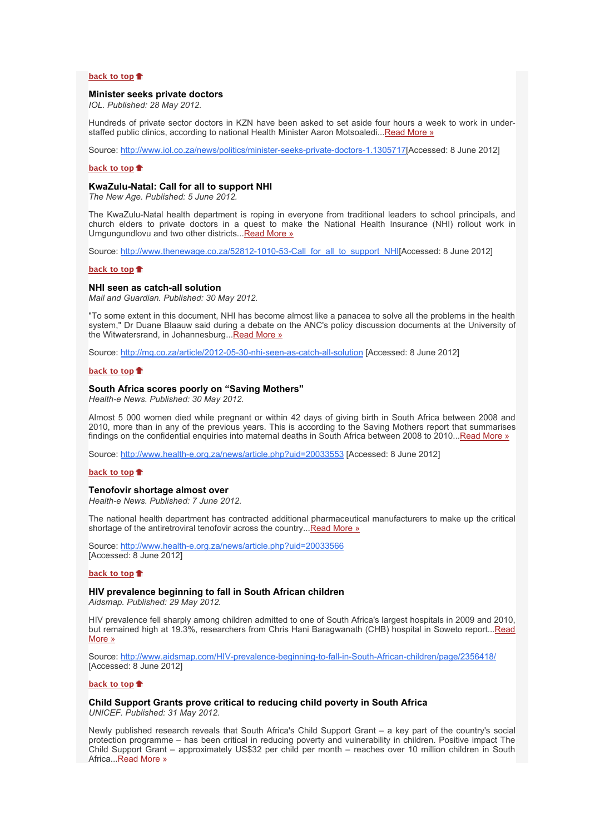## **[back to top](x-msg://5/#top)**

## **Minister seeks private doctors**

*IOL. Published: 28 May 2012.*

Hundreds of private sector doctors in KZN have been asked to set aside four hours a week to work in understaffed public clinics, according to national Health Minister Aaron Motsoaledi... Read More »

Source: [http://www.iol.co.za/news/politics/minister-seeks-private-doctors-1.1305717\[](http://bulletin.hst.org.za//lt.php?id=K09UDl1VVg4PSlBVBkUHC1NR)Accessed: 8 June 2012]

#### **[back to top](x-msg://5/#top)**

#### **KwaZulu-Natal: Call for all to support NHI**

*The New Age. Published: 5 June 2012.*

The KwaZulu-Natal health department is roping in everyone from traditional leaders to school principals, and church elders to private doctors in a quest to make the National Health Insurance (NHI) rollout work in Umgungundlovu and two other districts..[.Read More »](http://bulletin.hst.org.za//lt.php?id=K09UDl1VVg4OSlBVBkUHC1NR)

Source: [http://www.thenewage.co.za/52812-1010-53-Call\\_for\\_all\\_to\\_support\\_NHI\[](http://bulletin.hst.org.za//lt.php?id=K09UDl1VVg8HSlBVBkUHC1NR)Accessed: 8 June 2012]

#### **[back to top](x-msg://5/#top)**

#### **NHI seen as catch-all solution**

*Mail and Guardian. Published: 30 May 2012.*

"To some extent in this document, NHI has become almost like a panacea to solve all the problems in the health system," Dr Duane Blaauw said during a debate on the ANC's policy discussion documents at the University of the Witwatersrand, in Johannesburg..[.Read More »](http://bulletin.hst.org.za//lt.php?id=K09UDl1VVg8GSlBVBkUHC1NR)

Source: [http://mg.co.za/article/2012-05-30-nhi-seen-as-catch-all-solution](http://bulletin.hst.org.za//lt.php?id=K09UDl1VVg8FSlBVBkUHC1NR) [Accessed: 8 June 2012]

#### **[back to top](x-msg://5/#top)**

#### **South Africa scores poorly on "Saving Mothers"**

*Health-e News. Published: 30 May 2012.*

Almost 5 000 women died while pregnant or within 42 days of giving birth in South Africa between 2008 and 2010, more than in any of the previous years. This is according to the Saving Mothers report that summarises findings on the confidential enquiries into maternal deaths in South Africa between 2008 to 2010..[.Read More »](http://bulletin.hst.org.za//lt.php?id=K09UDl1VVg8ESlBVBkUHC1NR)

Source: [http://www.health-e.org.za/news/article.php?uid=20033553](http://bulletin.hst.org.za//lt.php?id=K09UDl1VVg8DSlBVBkUHC1NR) [Accessed: 8 June 2012]

## **[back to top](x-msg://5/#top)**

#### **Tenofovir shortage almost over**

*Health-e News. Published: 7 June 2012.*

The national health department has contracted additional pharmaceutical manufacturers to make up the critical shortage of the antiretroviral tenofovir across the country..[.Read More »](http://bulletin.hst.org.za//lt.php?id=K09UDl1VVg8CSlBVBkUHC1NR)

Source: [http://www.health-e.org.za/news/article.php?uid=20033566](http://tinyurl.com/ca453a2) [Accessed: 8 June 2012]

## **[back to top](x-msg://5/#top)**

## **HIV prevalence beginning to fall in South African children**

*Aidsmap. Published: 29 May 2012.*

HIV prevalence fell sharply among children admitted to one of South Africa's largest hospitals in 2009 and 2010, [but remained high at 19.3%, researchers from Chris Hani Baragwanath \(CHB\) hospital in Soweto report...Read](http://bulletin.hst.org.za//lt.php?id=K09UDl1VVg8BSlBVBkUHC1NR) More »

Source: [http://www.aidsmap.com/HIV-prevalence-beginning-to-fall-in-South-African-children/page/2356418/](http://bulletin.hst.org.za//lt.php?id=K09UDl1VVg8ASlBVBkUHC1NR) [Accessed: 8 June 2012]

## **[back to top](x-msg://5/#top)**

## **Child Support Grants prove critical to reducing child poverty in South Africa**

*UNICEF. Published: 31 May 2012.*

Newly published research reveals that South Africa's Child Support Grant – a key part of the country's social protection programme – has been critical in reducing poverty and vulnerability in children. Positive impact The Child Support Grant – approximately US\$32 per child per month – reaches over 10 million children in South Africa...[Read More »](http://bulletin.hst.org.za//lt.php?id=K09UDl1VVg8PSlBVBkUHC1NR)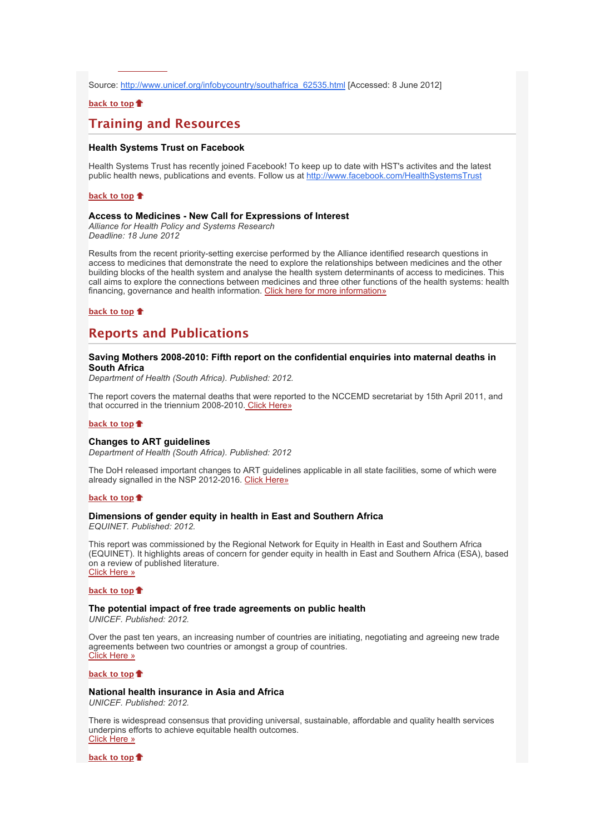Source: [http://www.unicef.org/infobycountry/southafrica\\_62535.html](http://bulletin.hst.org.za//lt.php?id=K09UDl1VVg8OSlBVBkUHC1NR) [Accessed: 8 June 2012]

## **[back to top](x-msg://5/#top)**

Africa...[Read More »](http://bulletin.hst.org.za//lt.php?id=K09UDl1VVg8PSlBVBkUHC1NR)

# **Training and Resources**

## **Health Systems Trust on Facebook**

Health Systems Trust has recently joined Facebook! To keep up to date with HST's activites and the latest public health news, publications and events. Follow us at [http://www.facebook.com/HealthSystemsTrust](http://bulletin.hst.org.za//lt.php?id=K09UDl1VUQYHSlBVBkUHC1NR)

#### **[back to top](x-msg://5/#top)**

## **Access to Medicines - New Call for Expressions of Interest**

*Alliance for Health Policy and Systems Research Deadline: 18 June 2012*

Results from the recent priority-setting exercise performed by the Alliance identified research questions in access to medicines that demonstrate the need to explore the relationships between medicines and the other building blocks of the health system and analyse the health system determinants of access to medicines. This call aims to explore the connections between medicines and three other functions of the health systems: health financing, governance and health information. [Click here for more information»](http://bulletin.hst.org.za//lt.php?id=K09UDl1VUQYGSlBVBkUHC1NR)

## **[back to top](x-msg://5/#top)**

# **Reports and Publications**

## **Saving Mothers 2008-2010: Fifth report on the confidential enquiries into maternal deaths in South Africa**

*Department of Health (South Africa). Published: 2012.*

The report covers the maternal deaths that were reported to the NCCEMD secretariat by 15th April 2011, and that occurred in the triennium 2008-2010. [Click Here»](http://bulletin.hst.org.za//lt.php?id=K09UDl1VUQYFSlBVBkUHC1NR)

#### **[back to top](x-msg://5/#top)**

## **Changes to ART guidelines**

*Department of Health (South Africa). Published: 2012*

The DoH released important changes to ART guidelines applicable in all state facilities, some of which were already signalled in the NSP 2012-2016. [Click Here»](http://bulletin.hst.org.za//lt.php?id=K09UDl1VUQYESlBVBkUHC1NR)

## **[back to top](x-msg://5/#top)**

## **Dimensions of gender equity in health in East and Southern Africa**

*EQUINET. Published: 2012.*

This report was commissioned by the Regional Network for Equity in Health in East and Southern Africa (EQUINET). It highlights areas of concern for gender equity in health in East and Southern Africa (ESA), based on a review of published literature. [Click Here »](http://bulletin.hst.org.za//lt.php?id=K09UDl1VUQYDSlBVBkUHC1NR)

#### **[back to top](x-msg://5/#top)**

# **The potential impact of free trade agreements on public health**

*UNICEF. Published: 2012.*

Over the past ten years, an increasing number of countries are initiating, negotiating and agreeing new trade agreements between two countries or amongst a group of countries. [Click Here »](http://bulletin.hst.org.za//lt.php?id=K09UDl1VUQYCSlBVBkUHC1NR)

**[back to top](x-msg://5/#top)**

## **National health insurance in Asia and Africa**

*UNICEF. Published: 2012.*

There is widespread consensus that providing universal, sustainable, affordable and quality health services underpins efforts to achieve equitable health outcomes. [Click Here »](http://bulletin.hst.org.za//lt.php?id=K09UDl1VUQYBSlBVBkUHC1NR)

**[back to top](x-msg://5/#top)**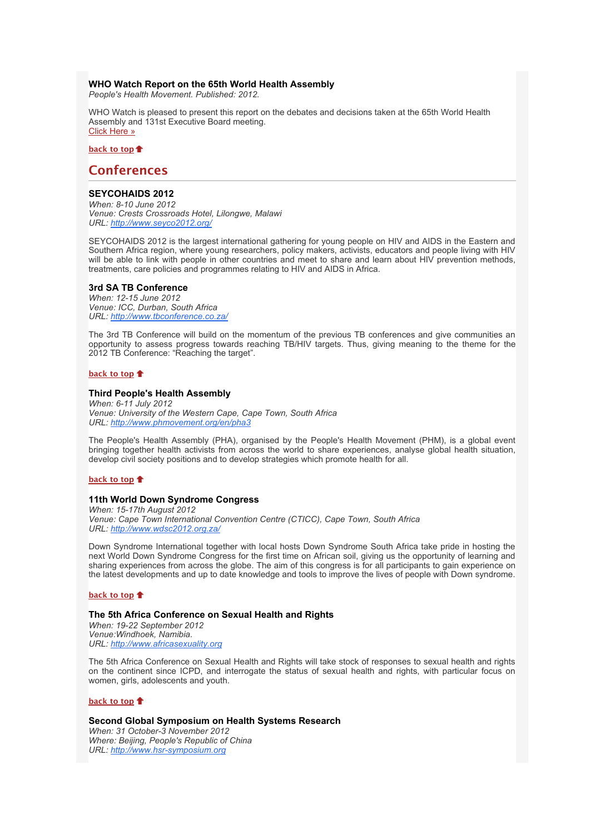## **WHO Watch Report on the 65th World Health Assembly**

*People's Health Movement. Published: 2012.*

WHO Watch is pleased to present this report on the debates and decisions taken at the 65th World Health Assembly and 131st Executive Board meeting. [Click Here »](http://bulletin.hst.org.za//lt.php?id=K09UDl1VUQYASlBVBkUHC1NR)

**[back to top](x-msg://5/#top)**

## **Conferences**

## **SEYCOHAIDS 2012**

*When: 8-10 June 2012 Venue: Crests Crossroads Hotel, Lilongwe, Malawi URL: [http://www.seyco2012.org/](http://bulletin.hst.org.za//lt.php?id=K09UDl1VUQYPSlBVBkUHC1NR)*

SEYCOHAIDS 2012 is the largest international gathering for young people on HIV and AIDS in the Eastern and Southern Africa region, where young researchers, policy makers, activists, educators and people living with HIV will be able to link with people in other countries and meet to share and learn about HIV prevention methods, treatments, care policies and programmes relating to HIV and AIDS in Africa.

## **3rd SA TB Conference**

*When: 12-15 June 2012 Venue: ICC, Durban, South Africa URL: [http://www.tbconference.co.za/](http://bulletin.hst.org.za//lt.php?id=K09UDl1VUQYOSlBVBkUHC1NR)*

The 3rd TB Conference will build on the momentum of the previous TB conferences and give communities an opportunity to assess progress towards reaching TB/HIV targets. Thus, giving meaning to the theme for the 2012 TB Conference: "Reaching the target".

## **[back to top](x-msg://5/#top)**

#### **Third People's Health Assembly**

*When: 6-11 July 2012 Venue: University of the Western Cape, Cape Town, South Africa URL: [http://www.phmovement.org/en/pha3](http://bulletin.hst.org.za//lt.php?id=K09UDl1VUQcHSlBVBkUHC1NR)*

The People's Health Assembly (PHA), organised by the People's Health Movement (PHM), is a global event bringing together health activists from across the world to share experiences, analyse global health situation, develop civil society positions and to develop strategies which promote health for all.

### **[back to top](x-msg://5/#top)**

## **11th World Down Syndrome Congress**

*When: 15-17th August 2012 Venue: Cape Town International Convention Centre (CTICC), Cape Town, South Africa URL: [http://www.wdsc2012.org.za/](http://bulletin.hst.org.za//lt.php?id=K09UDl1VUQcGSlBVBkUHC1NR)*

Down Syndrome International together with local hosts Down Syndrome South Africa take pride in hosting the next World Down Syndrome Congress for the first time on African soil, giving us the opportunity of learning and sharing experiences from across the globe. The aim of this congress is for all participants to gain experience on the latest developments and up to date knowledge and tools to improve the lives of people with Down syndrome.

#### **[back to top](x-msg://5/#top)**

## **The 5th Africa Conference on Sexual Health and Rights**

*When: 19-22 September 2012 Venue:Windhoek, Namibia. URL: [http://www.africasexuality.org](http://bulletin.hst.org.za//lt.php?id=K09UDl1VUQcFSlBVBkUHC1NR)*

The 5th Africa Conference on Sexual Health and Rights will take stock of responses to sexual health and rights on the continent since ICPD, and interrogate the status of sexual health and rights, with particular focus on women, girls, adolescents and youth.

## **[back to top](x-msg://5/#top)**

**Second Global Symposium on Health Systems Research**

*When: 31 October-3 November 2012 Where: Beijing, People's Republic of China URL: [http://www.hsr-symposium.org](http://bulletin.hst.org.za//lt.php?id=K09UDl1VUQcESlBVBkUHC1NR)*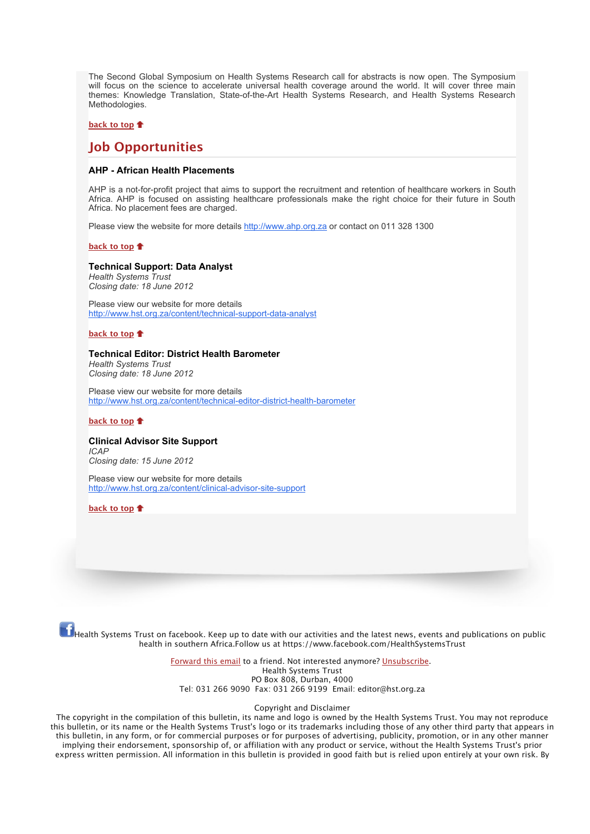The Second Global Symposium on Health Systems Research call for abstracts is now open. The Symposium will focus on the science to accelerate universal health coverage around the world. It will cover three main themes: Knowledge Translation, State-of-the-Art Health Systems Research, and Health Systems Research Methodologies.

## **[back to top](x-msg://5/#top)**

# **Job Opportunities**

## **AHP - African Health Placements**

AHP is a not-for-profit project that aims to support the recruitment and retention of healthcare workers in South Africa. AHP is focused on assisting healthcare professionals make the right choice for their future in South Africa. No placement fees are charged.

Please view the website for more details [http://www.ahp.org.za](http://bulletin.hst.org.za//lt.php?id=K09UDl1VUQcDSlBVBkUHC1NR) or contact on 011 328 1300

#### **[back to top](x-msg://5/#top)**

## **Technical Support: Data Analyst**

*Health Systems Trust Closing date: 18 June 2012*

Please view our website for more details [http://www.hst.org.za/content/technical-support-data-analyst](http://bulletin.hst.org.za//lt.php?id=K09UDl1VUQcCSlBVBkUHC1NR)

## **[back to top](x-msg://5/#top)**

## **Technical Editor: District Health Barometer**

*Health Systems Trust Closing date: 18 June 2012*

Please view our website for more details [http://www.hst.org.za/content/technical-editor-district-health-barometer](http://bulletin.hst.org.za//lt.php?id=K09UDl1VUQcBSlBVBkUHC1NR)

## **[back to top](x-msg://5/#top)**

#### **Clinical Advisor Site Support** *ICAP*

*Closing date: 15 June 2012*

Please view our website for more details [http://www.hst.org.za/content/clinical-advisor-site-support](http://bulletin.hst.org.za//lt.php?id=K09UDl1VUQcASlBVBkUHC1NR)

**[back to top](x-msg://5/#top)**

 $\ket{\mathbf{f}}$ Health Systems Trust on facebook. Keep up to date with our activities and the latest news, events and publications on public health in southern Africa.Follow us at https://www.facebook.com/HealthSystemsTrust

> [Forward this email](http://bulletin.hst.org.za//lt.php?id=K09UDl1VUQcPSlBVBkUHC1NR) to a friend. Not interested anymore? [Unsubscribe.](http://bulletin.hst.org.za//lt.php?id=K09UDl1VUQcOSlBVBkUHC1NR) Health Systems Trust PO Box 808, Durban, 4000 Tel: 031 266 9090 Fax: 031 266 9199 Email: editor@hst.org.za

#### Copyright and Disclaimer

The copyright in the compilation of this bulletin, its name and logo is owned by the Health Systems Trust. You may not reproduce this bulletin, or its name or the Health Systems Trust's logo or its trademarks including those of any other third party that appears in this bulletin, in any form, or for commercial purposes or for purposes of advertising, publicity, promotion, or in any other manner implying their endorsement, sponsorship of, or affiliation with any product or service, without the Health Systems Trust's prior express written permission. All information in this bulletin is provided in good faith but is relied upon entirely at your own risk. By